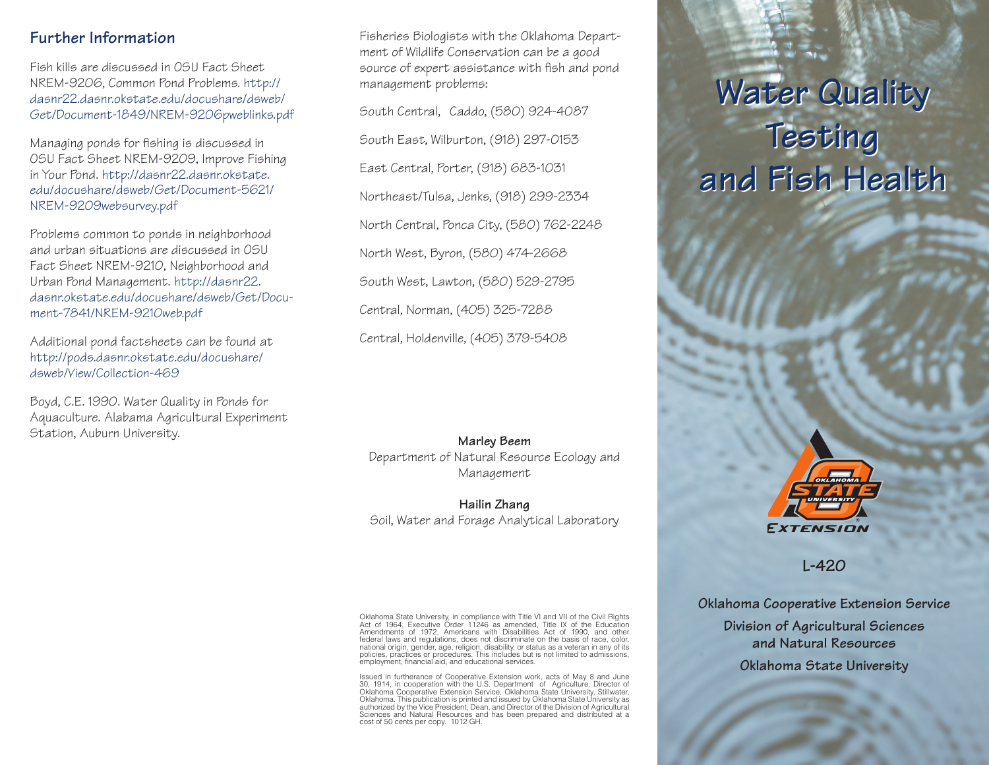### **Further Information**

Fish kills are discussed in OSU Fact Sheet NREM-9206, Common Pond Problems. [http://](http://dasnr22.dasnr.okstate.edu/docushare/dsweb/Get/Document-1849/NREM-9206pweblinks.pdf) [dasnr22.dasnr.okstate.edu/docushare/dsweb/](http://dasnr22.dasnr.okstate.edu/docushare/dsweb/Get/Document-1849/NREM-9206pweblinks.pdf) [Get/Document-1849/NREM-9206pweblinks.pdf](http://dasnr22.dasnr.okstate.edu/docushare/dsweb/Get/Document-1849/NREM-9206pweblinks.pdf)

Managing ponds for fishing is discussed in OSU Fact Sheet NREM-9209, Improve Fishing in Your Pond. [http://dasnr22.dasnr.okstate.](http://dasnr22.dasnr.okstate.edu/docushare/dsweb/Get/Document-5621/NREM-9209websurvey.pdf) [edu/docushare/dsweb/Get/Document-5621/](http://dasnr22.dasnr.okstate.edu/docushare/dsweb/Get/Document-5621/NREM-9209websurvey.pdf) [NREM-9209websurvey.pdf](http://dasnr22.dasnr.okstate.edu/docushare/dsweb/Get/Document-5621/NREM-9209websurvey.pdf)

Problems common to ponds in neighborhood and urban situations are discussed in OSU Fact Sheet NREM-9210, Neighborhood and Urban Pond Management. [http://dasnr22.](http://dasnr22.dasnr.okstate.edu/docushare/dsweb/Get/Document-7841/NREM-9210web.pdf) [dasnr.okstate.edu/docushare/dsweb/Get/Docu](http://dasnr22.dasnr.okstate.edu/docushare/dsweb/Get/Document-7841/NREM-9210web.pdf)[ment-7841/NREM-9210web.pdf](http://dasnr22.dasnr.okstate.edu/docushare/dsweb/Get/Document-7841/NREM-9210web.pdf)

Additional pond factsheets can be found at [http://pods.dasnr.okstate.edu/docushare/](http://pods.dasnr.okstate.edu/docushare/dsweb/View/Collection-469) [dsweb/View/Collection-469](http://pods.dasnr.okstate.edu/docushare/dsweb/View/Collection-469)

Boyd, C.E. 1990. Water Quality in Ponds for Aquaculture. Alabama Agricultural Experiment Station, Auburn University.

Fisheries Biologists with the Oklahoma Department of Wildlife Conservation can be a good source of expert assistance with fish and pond management problems:

South Central, Caddo, (580) 924-4087 South East, Wilburton, (918) 297-0153 East Central, Porter, (918) 683-1031 Northeast/Tulsa, Jenks, (918) 299-2334 North Central, Ponca City, (580) 762-2248 North West, Byron, (580) 474-2668 South West, Lawton, (580) 529-2795 Central, Norman, (405) 325-7288 Central, Holdenville, (405) 379-5408

**Marley Beem** Department of Natural Resource Ecology and Management

**Hailin Zhang** Soil, Water and Forage Analytical Laboratory

Oklahoma State University, in compliance with Title VI and VII of the Civil Rights<br>Act of 1964, Executive Order 11246 as amended, Title IX of the Education<br>Amendments of 1972, Americans with Disabilities Act of 1990, and o employment, financial aid, and educational services.

Issued in furtherance of Cooperative Extension work, acts of May 8 and June 30, 1914, in cooperation with the U.S. Department of Agriculture, Director of Oklahoma Cooperative Extension Service, Oklahoma State University, Stillwater, Oklahoma. This publication is printed and issued by Oklahoma State University as authorized by the Vice President, Dean, and Director of the Division of Agricultural Sciences and Natural Resources and has been prepared and distributed at a cost of 50 cents per copy. 1012 GH.

# **Water Quality Water Quality Testing Testing and Fish Health and Fish Health**



**L-420**

**Oklahoma Cooperative Extension Service Division of Agricultural Sciences and Natural Resources Oklahoma State University**